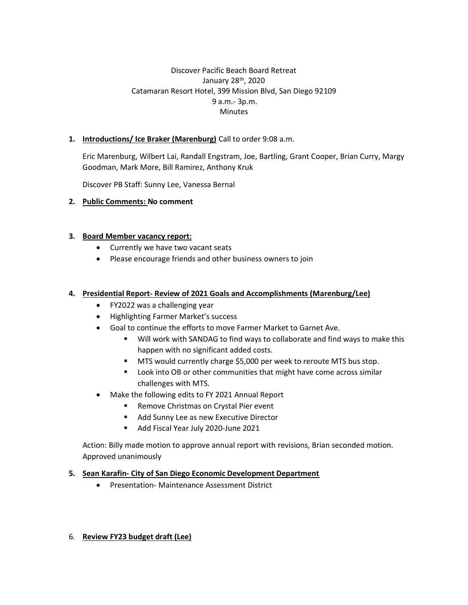## Discover Pacific Beach Board Retreat January 28th, 2020 Catamaran Resort Hotel, 399 Mission Blvd, San Diego 92109 9 a.m.- 3p.m. **Minutes**

### **1. Introductions/ Ice Braker (Marenburg)** Call to order 9:08 a.m.

Eric Marenburg, Wilbert Lai, Randall Engstram, Joe, Bartling, Grant Cooper, Brian Curry, Margy Goodman, Mark More, Bill Ramirez, Anthony Kruk

Discover PB Staff: Sunny Lee, Vanessa Bernal

### **2. Public Comments: No comment**

#### **3. Board Member vacancy report:**

- Currently we have two vacant seats
- Please encourage friends and other business owners to join

#### **4. Presidential Report- Review of 2021 Goals and Accomplishments (Marenburg/Lee)**

- FY2022 was a challenging year
- Highlighting Farmer Market's success
- Goal to continue the efforts to move Farmer Market to Garnet Ave.
	- Will work with SANDAG to find ways to collaborate and find ways to make this happen with no significant added costs.
	- MTS would currently charge \$5,000 per week to reroute MTS bus stop.
	- Look into OB or other communities that might have come across similar challenges with MTS.
- Make the following edits to FY 2021 Annual Report
	- Remove Christmas on Crystal Pier event
	- Add Sunny Lee as new Executive Director
	- Add Fiscal Year July 2020-June 2021

Action: Billy made motion to approve annual report with revisions, Brian seconded motion. Approved unanimously

#### **5. Sean Karafin- City of San Diego Economic Development Department**

• Presentation- Maintenance Assessment District

### 6. **Review FY23 budget draft (Lee)**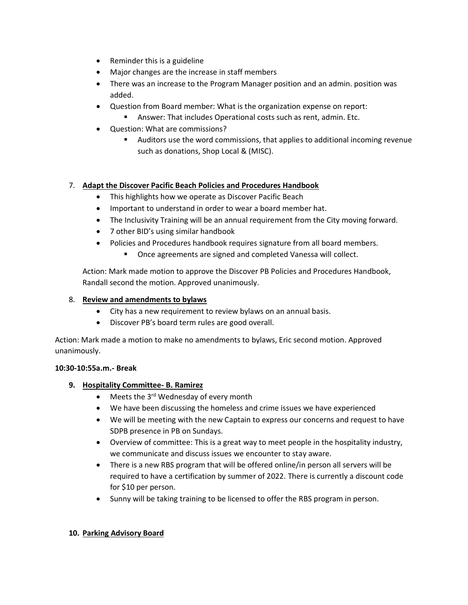- Reminder this is a guideline
- Major changes are the increase in staff members
- There was an increase to the Program Manager position and an admin. position was added.
- Question from Board member: What is the organization expense on report:
	- Answer: That includes Operational costs such as rent, admin. Etc.
- Question: What are commissions?
	- Auditors use the word commissions, that applies to additional incoming revenue such as donations, Shop Local & (MISC).

### 7. **Adapt the Discover Pacific Beach Policies and Procedures Handbook**

- This highlights how we operate as Discover Pacific Beach
- Important to understand in order to wear a board member hat.
- The Inclusivity Training will be an annual requirement from the City moving forward.
- 7 other BID's using similar handbook
- Policies and Procedures handbook requires signature from all board members.
	- Once agreements are signed and completed Vanessa will collect.

Action: Mark made motion to approve the Discover PB Policies and Procedures Handbook, Randall second the motion. Approved unanimously.

### 8. **Review and amendments to bylaws**

- City has a new requirement to review bylaws on an annual basis.
- Discover PB's board term rules are good overall.

Action: Mark made a motion to make no amendments to bylaws, Eric second motion. Approved unanimously.

#### **10:30-10:55a.m.- Break**

### **9. Hospitality Committee- B. Ramirez**

- Meets the 3<sup>rd</sup> Wednesday of every month
- We have been discussing the homeless and crime issues we have experienced
- We will be meeting with the new Captain to express our concerns and request to have SDPB presence in PB on Sundays.
- Overview of committee: This is a great way to meet people in the hospitality industry, we communicate and discuss issues we encounter to stay aware.
- There is a new RBS program that will be offered online/in person all servers will be required to have a certification by summer of 2022. There is currently a discount code for \$10 per person.
- Sunny will be taking training to be licensed to offer the RBS program in person.

#### **10. Parking Advisory Board**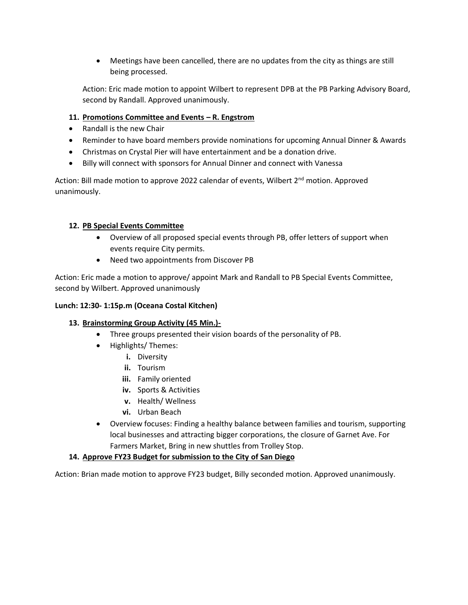• Meetings have been cancelled, there are no updates from the city as things are still being processed.

Action: Eric made motion to appoint Wilbert to represent DPB at the PB Parking Advisory Board, second by Randall. Approved unanimously.

### **11. Promotions Committee and Events – R. Engstrom**

- Randall is the new Chair
- Reminder to have board members provide nominations for upcoming Annual Dinner & Awards
- Christmas on Crystal Pier will have entertainment and be a donation drive.
- Billy will connect with sponsors for Annual Dinner and connect with Vanessa

Action: Bill made motion to approve 2022 calendar of events, Wilbert 2<sup>nd</sup> motion. Approved unanimously.

### **12. PB Special Events Committee**

- Overview of all proposed special events through PB, offer letters of support when events require City permits.
- Need two appointments from Discover PB

Action: Eric made a motion to approve/ appoint Mark and Randall to PB Special Events Committee, second by Wilbert. Approved unanimously

### **Lunch: 12:30- 1:15p.m (Oceana Costal Kitchen)**

### **13. Brainstorming Group Activity (45 Min.)-**

- Three groups presented their vision boards of the personality of PB.
- Highlights/ Themes:
	- **i.** Diversity
	- **ii.** Tourism
	- **iii.** Family oriented
	- **iv.** Sports & Activities
	- **v.** Health/ Wellness
	- **vi.** Urban Beach
- Overview focuses: Finding a healthy balance between families and tourism, supporting local businesses and attracting bigger corporations, the closure of Garnet Ave. For Farmers Market, Bring in new shuttles from Trolley Stop.

### **14. Approve FY23 Budget for submission to the City of San Diego**

Action: Brian made motion to approve FY23 budget, Billy seconded motion. Approved unanimously.